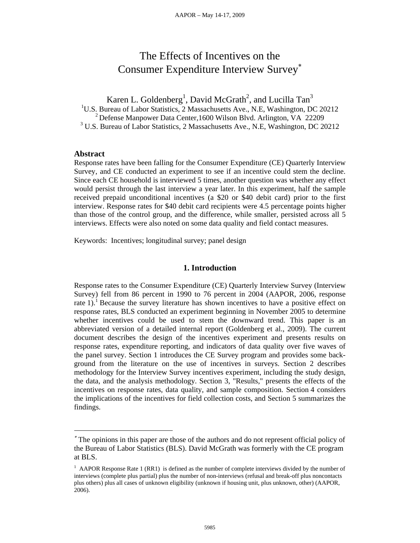# The Effects of Incentives on the Consumer Expenditure Interview Survey

Karen L. Goldenberg<sup>1</sup>, David McGrath<sup>2</sup>, and Lucilla Tan<sup>3</sup>

<sup>1</sup>U.S. Bureau of Labor Statistics, 2 Massachusetts Ave., N.E, Washington, DC 20212

 $2$  Defense Manpower Data Center, 1600 Wilson Blvd. Arlington, VA 22209

<sup>3</sup> U.S. Bureau of Labor Statistics, 2 Massachusetts Ave., N.E, Washington, DC 20212

### **Abstract**

 $\overline{a}$ 

Response rates have been falling for the Consumer Expenditure (CE) Quarterly Interview Survey, and CE conducted an experiment to see if an incentive could stem the decline. Since each CE household is interviewed 5 times, another question was whether any effect would persist through the last interview a year later. In this experiment, half the sample received prepaid unconditional incentives (a \$20 or \$40 debit card) prior to the first interview. Response rates for \$40 debit card recipients were 4.5 percentage points higher than those of the control group, and the difference, while smaller, persisted across all 5 interviews. Effects were also noted on some data quality and field contact measures.

Keywords: Incentives; longitudinal survey; panel design

### **1. Introduction**

Response rates to the Consumer Expenditure (CE) Quarterly Interview Survey (Interview Survey) fell from 86 percent in 1990 to 76 percent in 2004 (AAPOR, 2006, response rate 1).<sup>1</sup> Because the survey literature has shown incentives to have a positive effect on response rates, BLS conducted an experiment beginning in November 2005 to determine whether incentives could be used to stem the downward trend. This paper is an abbreviated version of a detailed internal report (Goldenberg et al., 2009). The current document describes the design of the incentives experiment and presents results on response rates, expenditure reporting, and indicators of data quality over five waves of the panel survey. Section 1 introduces the CE Survey program and provides some background from the literature on the use of incentives in surveys. Section 2 describes methodology for the Interview Survey incentives experiment, including the study design, the data, and the analysis methodology. Section 3, "Results," presents the effects of the incentives on response rates, data quality, and sample composition. Section 4 considers the implications of the incentives for field collection costs, and Section 5 summarizes the findings.

The opinions in this paper are those of the authors and do not represent official policy of the Bureau of Labor Statistics (BLS). David McGrath was formerly with the CE program at BLS.

<sup>&</sup>lt;sup>1</sup> AAPOR Response Rate 1 (RR1) is defined as the number of complete interviews divided by the number of interviews (complete plus partial) plus the number of non-interviews (refusal and break-off plus noncontacts plus others) plus all cases of unknown eligibility (unknown if housing unit, plus unknown, other) (AAPOR, 2006).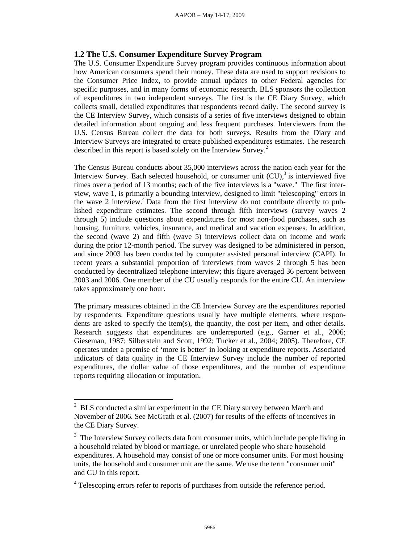### **1.2 The U.S. Consumer Expenditure Survey Program**

The U.S. Consumer Expenditure Survey program provides continuous information about how American consumers spend their money. These data are used to support revisions to the Consumer Price Index, to provide annual updates to other Federal agencies for specific purposes, and in many forms of economic research. BLS sponsors the collection of expenditures in two independent surveys. The first is the CE Diary Survey, which collects small, detailed expenditures that respondents record daily. The second survey is the CE Interview Survey, which consists of a series of five interviews designed to obtain detailed information about ongoing and less frequent purchases. Interviewers from the U.S. Census Bureau collect the data for both surveys. Results from the Diary and Interview Surveys are integrated to create published expenditures estimates. The research described in this report is based solely on the Interview Survey.<sup>2</sup>

The Census Bureau conducts about 35,000 interviews across the nation each year for the Interview Survey. Each selected household, or consumer unit  $(CU)$ , is interviewed five times over a period of 13 months; each of the five interviews is a "wave." The first interview, wave 1, is primarily a bounding interview, designed to limit "telescoping" errors in the wave 2 interview.<sup>4</sup> Data from the first interview do not contribute directly to published expenditure estimates. The second through fifth interviews (survey waves 2 through 5) include questions about expenditures for most non-food purchases, such as housing, furniture, vehicles, insurance, and medical and vacation expenses. In addition, the second (wave 2) and fifth (wave 5) interviews collect data on income and work during the prior 12-month period. The survey was designed to be administered in person, and since 2003 has been conducted by computer assisted personal interview (CAPI). In recent years a substantial proportion of interviews from waves 2 through 5 has been conducted by decentralized telephone interview; this figure averaged 36 percent between 2003 and 2006. One member of the CU usually responds for the entire CU. An interview takes approximately one hour.

The primary measures obtained in the CE Interview Survey are the expenditures reported by respondents. Expenditure questions usually have multiple elements, where respondents are asked to specify the item(s), the quantity, the cost per item, and other details. Research suggests that expenditures are underreported (e.g., Garner et al., 2006; Gieseman, 1987; Silberstein and Scott, 1992; Tucker et al., 2004; 2005). Therefore, CE operates under a premise of 'more is better' in looking at expenditure reports. Associated indicators of data quality in the CE Interview Survey include the number of reported expenditures, the dollar value of those expenditures, and the number of expenditure reports requiring allocation or imputation.

 $\overline{a}$ 

 $2^2$  BLS conducted a similar experiment in the CE Diary survey between March and November of 2006. See McGrath et al. (2007) for results of the effects of incentives in the CE Diary Survey.

<sup>&</sup>lt;sup>3</sup> The Interview Survey collects data from consumer units, which include people living in a household related by blood or marriage, or unrelated people who share household expenditures. A household may consist of one or more consumer units. For most housing units, the household and consumer unit are the same. We use the term "consumer unit" and CU in this report.

<sup>&</sup>lt;sup>4</sup> Telescoping errors refer to reports of purchases from outside the reference period.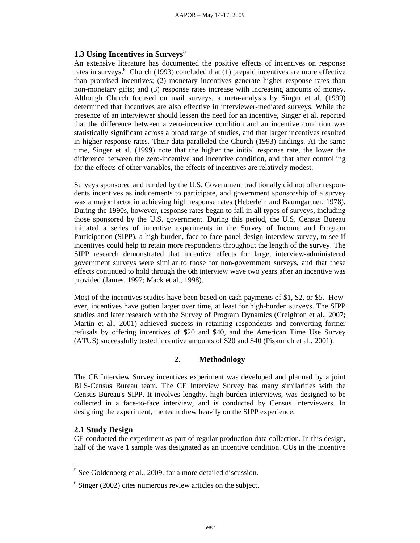### **1.3 Using Incentives in Surveys<sup>5</sup>**

An extensive literature has documented the positive effects of incentives on response rates in surveys.<sup>6</sup> Church (1993) concluded that (1) prepaid incentives are more effective than promised incentives; (2) monetary incentives generate higher response rates than non-monetary gifts; and (3) response rates increase with increasing amounts of money. Although Church focused on mail surveys, a meta-analysis by Singer et al. (1999) determined that incentives are also effective in interviewer-mediated surveys. While the presence of an interviewer should lessen the need for an incentive, Singer et al. reported that the difference between a zero-incentive condition and an incentive condition was statistically significant across a broad range of studies, and that larger incentives resulted in higher response rates. Their data paralleled the Church (1993) findings. At the same time, Singer et al. (1999) note that the higher the initial response rate, the lower the difference between the zero-incentive and incentive condition, and that after controlling for the effects of other variables, the effects of incentives are relatively modest.

Surveys sponsored and funded by the U.S. Government traditionally did not offer respondents incentives as inducements to participate, and government sponsorship of a survey was a major factor in achieving high response rates (Heberlein and Baumgartner, 1978). During the 1990s, however, response rates began to fall in all types of surveys, including those sponsored by the U.S. government. During this period, the U.S. Census Bureau initiated a series of incentive experiments in the Survey of Income and Program Participation (SIPP), a high-burden, face-to-face panel-design interview survey, to see if incentives could help to retain more respondents throughout the length of the survey. The SIPP research demonstrated that incentive effects for large, interview-administered government surveys were similar to those for non-government surveys, and that these effects continued to hold through the 6th interview wave two years after an incentive was provided (James, 1997; Mack et al., 1998).

Most of the incentives studies have been based on cash payments of \$1, \$2, or \$5. However, incentives have gotten larger over time, at least for high-burden surveys. The SIPP studies and later research with the Survey of Program Dynamics (Creighton et al., 2007; Martin et al., 2001) achieved success in retaining respondents and converting former refusals by offering incentives of \$20 and \$40, and the American Time Use Survey (ATUS) successfully tested incentive amounts of \$20 and \$40 (Piskurich et al., 2001).

# **2. Methodology**

The CE Interview Survey incentives experiment was developed and planned by a joint BLS-Census Bureau team. The CE Interview Survey has many similarities with the Census Bureau's SIPP. It involves lengthy, high-burden interviews, was designed to be collected in a face-to-face interview, and is conducted by Census interviewers. In designing the experiment, the team drew heavily on the SIPP experience.

## **2.1 Study Design**

 $\overline{a}$ 

CE conducted the experiment as part of regular production data collection. In this design, half of the wave 1 sample was designated as an incentive condition. CUs in the incentive

 $<sup>5</sup>$  See Goldenberg et al., 2009, for a more detailed discussion.</sup>

 $6$  Singer (2002) cites numerous review articles on the subject.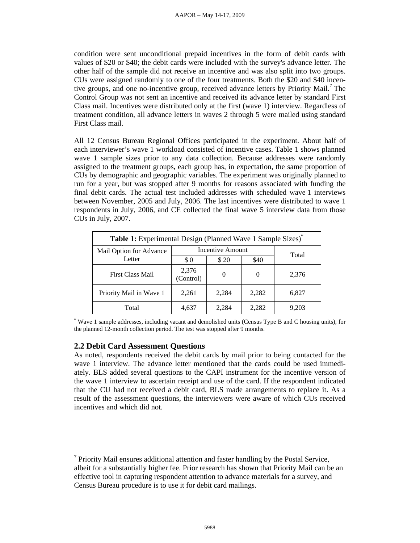condition were sent unconditional prepaid incentives in the form of debit cards with values of \$20 or \$40; the debit cards were included with the survey's advance letter. The other half of the sample did not receive an incentive and was also split into two groups. CUs were assigned randomly to one of the four treatments. Both the \$20 and \$40 incentive groups, and one no-incentive group, received advance letters by Priority Mail.<sup>7</sup> The Control Group was not sent an incentive and received its advance letter by standard First Class mail. Incentives were distributed only at the first (wave 1) interview. Regardless of treatment condition, all advance letters in waves 2 through 5 were mailed using standard First Class mail.

All 12 Census Bureau Regional Offices participated in the experiment. About half of each interviewer's wave 1 workload consisted of incentive cases. Table 1 shows planned wave 1 sample sizes prior to any data collection. Because addresses were randomly assigned to the treatment groups, each group has, in expectation, the same proportion of CUs by demographic and geographic variables. The experiment was originally planned to run for a year, but was stopped after 9 months for reasons associated with funding the final debit cards. The actual test included addresses with scheduled wave 1 interviews between November, 2005 and July, 2006. The last incentives were distributed to wave 1 respondents in July, 2006, and CE collected the final wave 5 interview data from those CUs in July, 2007.

| Table 1: Experimental Design (Planned Wave 1 Sample Sizes) <sup>*</sup> |                    |          |       |       |  |  |
|-------------------------------------------------------------------------|--------------------|----------|-------|-------|--|--|
| Mail Option for Advance                                                 | Incentive Amount   | Total    |       |       |  |  |
| Letter                                                                  | \$0                | \$20     | \$40  |       |  |  |
| <b>First Class Mail</b>                                                 | 2,376<br>(Control) | $\Omega$ |       | 2,376 |  |  |
| Priority Mail in Wave 1                                                 | 2,261              | 2,284    | 2,282 | 6,827 |  |  |
| Total                                                                   | 4,637              | 2.284    | 2,282 | 9.203 |  |  |

\* Wave 1 sample addresses, including vacant and demolished units (Census Type B and C housing units), for the planned 12-month collection period. The test was stopped after 9 months.

## **2.2 Debit Card Assessment Questions**

 $\overline{a}$ 

As noted, respondents received the debit cards by mail prior to being contacted for the wave 1 interview. The advance letter mentioned that the cards could be used immediately. BLS added several questions to the CAPI instrument for the incentive version of the wave 1 interview to ascertain receipt and use of the card. If the respondent indicated that the CU had not received a debit card, BLS made arrangements to replace it. As a result of the assessment questions, the interviewers were aware of which CUs received incentives and which did not.

 $7$  Priority Mail ensures additional attention and faster handling by the Postal Service, albeit for a substantially higher fee. Prior research has shown that Priority Mail can be an effective tool in capturing respondent attention to advance materials for a survey, and Census Bureau procedure is to use it for debit card mailings.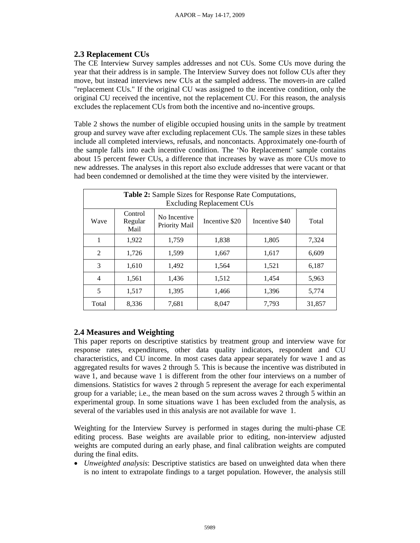# **2.3 Replacement CUs**

The CE Interview Survey samples addresses and not CUs. Some CUs move during the year that their address is in sample. The Interview Survey does not follow CUs after they move, but instead interviews new CUs at the sampled address. The movers-in are called "replacement CUs." If the original CU was assigned to the incentive condition, only the original CU received the incentive, not the replacement CU. For this reason, the analysis excludes the replacement CUs from both the incentive and no-incentive groups.

Table 2 shows the number of eligible occupied housing units in the sample by treatment group and survey wave after excluding replacement CUs. The sample sizes in these tables include all completed interviews, refusals, and noncontacts. Approximately one-fourth of the sample falls into each incentive condition. The 'No Replacement' sample contains about 15 percent fewer CUs, a difference that increases by wave as more CUs move to new addresses. The analyses in this report also exclude addresses that were vacant or that had been condemned or demolished at the time they were visited by the interviewer.

| <b>Table 2:</b> Sample Sizes for Response Rate Computations,<br><b>Excluding Replacement CUs</b> |                            |                               |                |                |        |  |  |
|--------------------------------------------------------------------------------------------------|----------------------------|-------------------------------|----------------|----------------|--------|--|--|
| Wave                                                                                             | Control<br>Regular<br>Mail | No Incentive<br>Priority Mail | Incentive \$20 | Incentive \$40 | Total  |  |  |
| 1                                                                                                | 1,922                      | 1,759                         | 1.838          | 1,805          | 7,324  |  |  |
| $\overline{2}$                                                                                   | 1,726                      | 1,599                         | 1,667          | 1,617          | 6,609  |  |  |
| 3                                                                                                | 1,610                      | 1,492                         | 1,564          | 1,521          | 6,187  |  |  |
| $\overline{4}$                                                                                   | 1,561                      | 1,436                         | 1,512          | 1,454          | 5,963  |  |  |
| 5                                                                                                | 1.517                      | 1,395                         | 1,466          | 1,396          | 5,774  |  |  |
| Total                                                                                            | 8,336                      | 7,681                         | 8,047          | 7,793          | 31,857 |  |  |

# **2.4 Measures and Weighting**

This paper reports on descriptive statistics by treatment group and interview wave for response rates, expenditures, other data quality indicators, respondent and CU characteristics, and CU income. In most cases data appear separately for wave 1 and as aggregated results for waves 2 through 5. This is because the incentive was distributed in wave 1, and because wave 1 is different from the other four interviews on a number of dimensions. Statistics for waves 2 through 5 represent the average for each experimental group for a variable; i.e., the mean based on the sum across waves 2 through 5 within an experimental group. In some situations wave 1 has been excluded from the analysis, as several of the variables used in this analysis are not available for wave 1.

Weighting for the Interview Survey is performed in stages during the multi-phase CE editing process. Base weights are available prior to editing, non-interview adjusted weights are computed during an early phase, and final calibration weights are computed during the final edits.

 *Unweighted analysis*: Descriptive statistics are based on unweighted data when there is no intent to extrapolate findings to a target population. However, the analysis still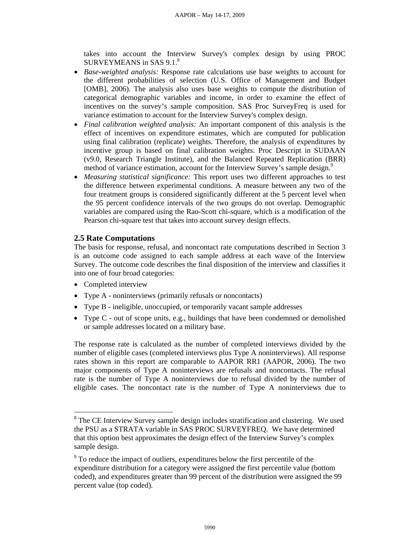takes into account the Interview Survey's complex design by using PROC SURVEYMEANS in SAS 9.1.<sup>8</sup>

- *Base-weighted analysis:* Response rate calculations use base weights to account for the different probabilities of selection (U.S. Office of Management and Budget [OMB], 2006). The analysis also uses base weights to compute the distribution of categorical demographic variables and income, in order to examine the effect of incentives on the survey's sample composition. SAS Proc SurveyFreq is used for variance estimation to account for the Interview Survey's complex design.
- *Final calibration weighted analysis:* An important component of this analysis is the effect of incentives on expenditure estimates, which are computed for publication using final calibration (replicate) weights. Therefore, the analysis of expenditures by incentive group is based on final calibration weights. Proc Descript in SUDAAN (v9.0, Research Triangle Institute), and the Balanced Repeated Replication (BRR) method of variance estimation, account for the Interview Survey's sample design.<sup>9</sup>
- *Measuring statistical significance:* This report uses two different approaches to test the difference between experimental conditions. A measure between any two of the four treatment groups is considered significantly different at the 5 percent level when the 95 percent confidence intervals of the two groups do not overlap. Demographic variables are compared using the Rao-Scott chi-square, which is a modification of the Pearson chi-square test that takes into account survey design effects.

## **2.5 Rate Computations**

The basis for response, refusal, and noncontact rate computations described in Section 3 is an outcome code assigned to each sample address at each wave of the Interview Survey. The outcome code describes the final disposition of the interview and classifies it into one of four broad categories:

• Completed interview

 $\overline{a}$ 

- Type A noninterviews (primarily refusals or noncontacts)
- Type B ineligible, unoccupied, or temporarily vacant sample addresses
- Type C out of scope units, e.g., buildings that have been condemned or demolished or sample addresses located on a military base.

The response rate is calculated as the number of completed interviews divided by the number of eligible cases (completed interviews plus Type A noninterviews). All response rates shown in this report are comparable to AAPOR RR1 (AAPOR, 2006). The two major components of Type A noninterviews are refusals and noncontacts. The refusal rate is the number of Type A noninterviews due to refusal divided by the number of eligible cases. The noncontact rate is the number of Type A noninterviews due to

<sup>&</sup>lt;sup>8</sup> The CE Interview Survey sample design includes stratification and clustering. We used the PSU as a STRATA variable in SAS PROC SURVEYFREQ. We have determined that this option best approximates the design effect of the Interview Survey's complex sample design.

<sup>&</sup>lt;sup>9</sup> To reduce the impact of outliers, expenditures below the first percentile of the expenditure distribution for a category were assigned the first percentile value (bottom coded), and expenditures greater than 99 percent of the distribution were assigned the 99 percent value (top coded).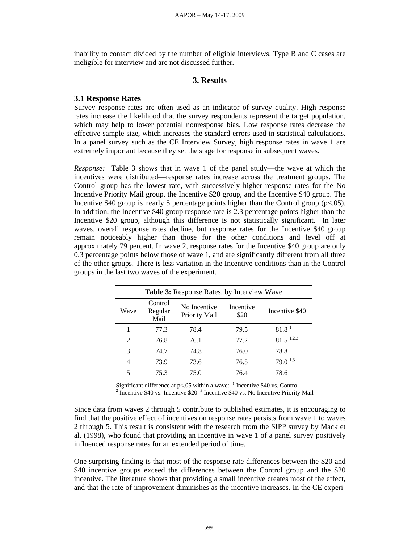inability to contact divided by the number of eligible interviews. Type B and C cases are ineligible for interview and are not discussed further.

### **3. Results**

### **3.1 Response Rates**

Survey response rates are often used as an indicator of survey quality. High response rates increase the likelihood that the survey respondents represent the target population, which may help to lower potential nonresponse bias. Low response rates decrease the effective sample size, which increases the standard errors used in statistical calculations. In a panel survey such as the CE Interview Survey, high response rates in wave 1 are extremely important because they set the stage for response in subsequent waves.

*Response:* Table 3 shows that in wave 1 of the panel study—the wave at which the incentives were distributed—response rates increase across the treatment groups. The Control group has the lowest rate, with successively higher response rates for the No Incentive Priority Mail group, the Incentive \$20 group, and the Incentive \$40 group. The Incentive \$40 group is nearly 5 percentage points higher than the Control group ( $p<.05$ ). In addition, the Incentive \$40 group response rate is 2.3 percentage points higher than the Incentive \$20 group, although this difference is not statistically significant. In later waves, overall response rates decline, but response rates for the Incentive \$40 group remain noticeably higher than those for the other conditions and level off at approximately 79 percent. In wave 2, response rates for the Incentive \$40 group are only 0.3 percentage points below those of wave 1, and are significantly different from all three of the other groups. There is less variation in the Incentive conditions than in the Control groups in the last two waves of the experiment.

| <b>Table 3:</b> Response Rates, by Interview Wave |                            |                               |                   |                         |  |  |  |
|---------------------------------------------------|----------------------------|-------------------------------|-------------------|-------------------------|--|--|--|
| Wave                                              | Control<br>Regular<br>Mail | No Incentive<br>Priority Mail | Incentive<br>\$20 | Incentive \$40          |  |  |  |
|                                                   | 77.3                       | 78.4                          | 79.5              | 81.8 <sup>1</sup>       |  |  |  |
| 2                                                 | 76.8                       | 76.1                          | 77.2              | $81.5$ <sup>1,2,3</sup> |  |  |  |
| 3                                                 | 74.7                       | 74.8                          | 76.0              | 78.8                    |  |  |  |
|                                                   | 73.9                       | 73.6                          | 76.5              | $79.0^{\,1,3}$          |  |  |  |
| 5                                                 | 75.3                       | 75.0                          | 76.4              | 78.6                    |  |  |  |

Significant difference at p<.05 within a wave:  $\frac{1}{2}$  Incentive \$40 vs. Control  $\frac{2}{5}$  Incentive \$40 vs. No Incentive Briggins Incentive \$40 vs. Incentive \$20 <sup>3</sup> Incentive \$40 vs. No Incentive Priority Mail

Since data from waves 2 through 5 contribute to published estimates, it is encouraging to find that the positive effect of incentives on response rates persists from wave 1 to waves 2 through 5. This result is consistent with the research from the SIPP survey by Mack et al. (1998), who found that providing an incentive in wave 1 of a panel survey positively influenced response rates for an extended period of time.

One surprising finding is that most of the response rate differences between the \$20 and \$40 incentive groups exceed the differences between the Control group and the \$20 incentive. The literature shows that providing a small incentive creates most of the effect, and that the rate of improvement diminishes as the incentive increases. In the CE experi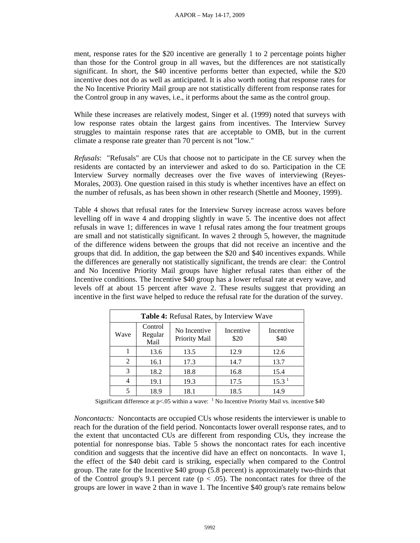ment, response rates for the \$20 incentive are generally 1 to 2 percentage points higher than those for the Control group in all waves, but the differences are not statistically significant. In short, the \$40 incentive performs better than expected, while the \$20 incentive does not do as well as anticipated. It is also worth noting that response rates for the No Incentive Priority Mail group are not statistically different from response rates for the Control group in any waves, i.e., it performs about the same as the control group.

While these increases are relatively modest, Singer et al. (1999) noted that surveys with low response rates obtain the largest gains from incentives. The Interview Survey struggles to maintain response rates that are acceptable to OMB, but in the current climate a response rate greater than 70 percent is not "low."

*Refusals*: "Refusals" are CUs that choose not to participate in the CE survey when the residents are contacted by an interviewer and asked to do so. Participation in the CE Interview Survey normally decreases over the five waves of interviewing (Reyes-Morales, 2003). One question raised in this study is whether incentives have an effect on the number of refusals, as has been shown in other research (Shettle and Mooney, 1999).

Table 4 shows that refusal rates for the Interview Survey increase across waves before levelling off in wave 4 and dropping slightly in wave 5. The incentive does not affect refusals in wave 1; differences in wave 1 refusal rates among the four treatment groups are small and not statistically significant. In waves 2 through 5, however, the magnitude of the difference widens between the groups that did not receive an incentive and the groups that did. In addition, the gap between the \$20 and \$40 incentives expands. While the differences are generally not statistically significant, the trends are clear: the Control and No Incentive Priority Mail groups have higher refusal rates than either of the Incentive conditions. The Incentive \$40 group has a lower refusal rate at every wave, and levels off at about 15 percent after wave 2. These results suggest that providing an incentive in the first wave helped to reduce the refusal rate for the duration of the survey.

| Table 4: Refusal Rates, by Interview Wave |                            |                               |                   |                   |  |  |  |
|-------------------------------------------|----------------------------|-------------------------------|-------------------|-------------------|--|--|--|
| Wave                                      | Control<br>Regular<br>Mail | No Incentive<br>Priority Mail | Incentive<br>\$20 | Incentive<br>\$40 |  |  |  |
|                                           | 13.6                       | 13.5                          | 12.9              | 12.6              |  |  |  |
| 2                                         | 16.1                       | 17.3                          | 14.7              | 13.7              |  |  |  |
| 3                                         | 18.2                       | 18.8                          | 16.8              | 15.4              |  |  |  |
| 4                                         | 19.1                       | 19.3                          | 17.5              | 15.3 <sup>1</sup> |  |  |  |
|                                           | 18.9                       | 18.1                          | 18.5              | 14.9              |  |  |  |

Significant difference at  $p<0.05$  within a wave: <sup>1</sup> No Incentive Priority Mail vs. incentive \$40

*Noncontacts:* Noncontacts are occupied CUs whose residents the interviewer is unable to reach for the duration of the field period. Noncontacts lower overall response rates, and to the extent that uncontacted CUs are different from responding CUs, they increase the potential for nonresponse bias. Table 5 shows the noncontact rates for each incentive condition and suggests that the incentive did have an effect on noncontacts. In wave 1, the effect of the \$40 debit card is striking, especially when compared to the Control group. The rate for the Incentive \$40 group (5.8 percent) is approximately two-thirds that of the Control group's 9.1 percent rate ( $p < .05$ ). The noncontact rates for three of the groups are lower in wave 2 than in wave 1. The Incentive \$40 group's rate remains below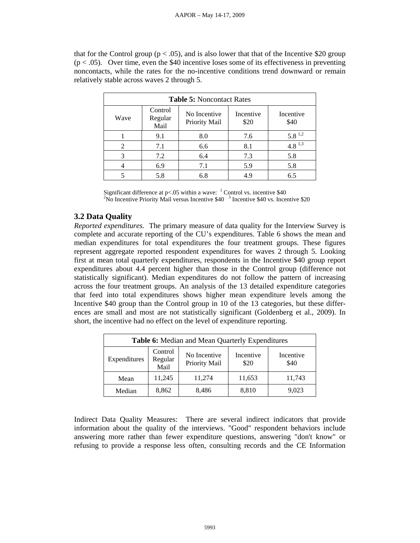that for the Control group ( $p < .05$ ), and is also lower that that of the Incentive \$20 group  $(p < .05)$ . Over time, even the \$40 incentive loses some of its effectiveness in preventing noncontacts, while the rates for the no-incentive conditions trend downward or remain relatively stable across waves 2 through 5.

| <b>Table 5: Noncontact Rates</b> |                            |                               |                   |                   |  |  |
|----------------------------------|----------------------------|-------------------------------|-------------------|-------------------|--|--|
| Wave                             | Control<br>Regular<br>Mail | No Incentive<br>Priority Mail | Incentive<br>\$20 | Incentive<br>\$40 |  |  |
|                                  | 9.1                        | 8.0                           | 7.6               | $5.8^{\,1.2}$     |  |  |
| 2                                | 7.1                        | 6.6                           | 8.1               | $4.8^{1,3}$       |  |  |
| 3                                | 7.2                        | 6.4                           | 7.3               | 5.8               |  |  |
|                                  | 6.9                        | 7.1                           | 5.9               | 5.8               |  |  |
|                                  | 5.8                        | 6.8                           | 4.9               | 6.5               |  |  |

Significant difference at  $p<0.05$  within a wave:  $^{-1}$  Control vs. incentive \$40<br><sup>2</sup>No Incentive Priority Meil versue Incentive \$40<sup>-3</sup> Incentive \$40 vs. Incen No Incentive Priority Mail versus Incentive \$40<sup>3</sup> Incentive \$40 vs. Incentive \$20

# **3.2 Data Quality**

*Reported expenditures.* The primary measure of data quality for the Interview Survey is complete and accurate reporting of the CU's expenditures. Table 6 shows the mean and median expenditures for total expenditures the four treatment groups. These figures represent aggregate reported respondent expenditures for waves 2 through 5. Looking first at mean total quarterly expenditures, respondents in the Incentive \$40 group report expenditures about 4.4 percent higher than those in the Control group (difference not statistically significant). Median expenditures do not follow the pattern of increasing across the four treatment groups. An analysis of the 13 detailed expenditure categories that feed into total expenditures shows higher mean expenditure levels among the Incentive \$40 group than the Control group in 10 of the 13 categories, but these differences are small and most are not statistically significant (Goldenberg et al., 2009). In short, the incentive had no effect on the level of expenditure reporting.

| Table 6: Median and Mean Quarterly Expenditures |                                                                                                       |        |        |        |  |  |  |
|-------------------------------------------------|-------------------------------------------------------------------------------------------------------|--------|--------|--------|--|--|--|
| Expenditures                                    | Control<br>No Incentive<br>Incentive<br>Incentive<br>Regular<br>Priority Mail<br>\$40<br>\$20<br>Mail |        |        |        |  |  |  |
| Mean                                            | 11,245                                                                                                | 11,274 | 11,653 | 11,743 |  |  |  |
| Median                                          | 8,862                                                                                                 | 8,810  | 9,023  |        |  |  |  |

Indirect Data Quality Measures: There are several indirect indicators that provide information about the quality of the interviews. "Good" respondent behaviors include answering more rather than fewer expenditure questions, answering "don't know" or refusing to provide a response less often, consulting records and the CE Information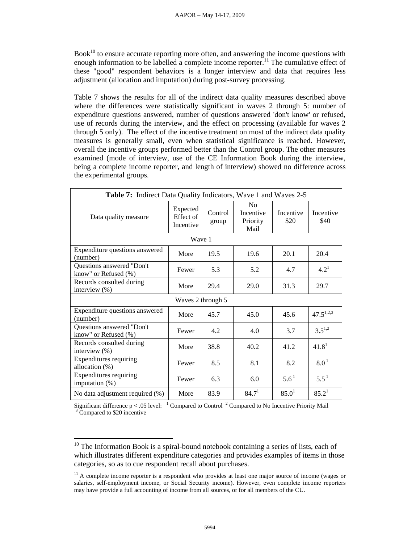$Book<sup>10</sup>$  to ensure accurate reporting more often, and answering the income questions with enough information to be labelled a complete income reporter.<sup>11</sup> The cumulative effect of these "good" respondent behaviors is a longer interview and data that requires less adjustment (allocation and imputation) during post-survey processing.

Table 7 shows the results for all of the indirect data quality measures described above where the differences were statistically significant in waves 2 through 5: number of expenditure questions answered, number of questions answered 'don't know' or refused, use of records during the interview, and the effect on processing (available for waves 2 through 5 only). The effect of the incentive treatment on most of the indirect data quality measures is generally small, even when statistical significance is reached. However, overall the incentive groups performed better than the Control group. The other measures examined (mode of interview, use of the CE Information Book during the interview, being a complete income reporter, and length of interview) showed no difference across the experimental groups.

| Table 7: Indirect Data Quality Indicators, Wave 1 and Waves 2-5 |                                    |                                                                     |                   |                   |                   |  |
|-----------------------------------------------------------------|------------------------------------|---------------------------------------------------------------------|-------------------|-------------------|-------------------|--|
| Data quality measure                                            | Expected<br>Effect of<br>Incentive | N <sub>0</sub><br>Control<br>Incentive<br>Priority<br>group<br>Mail |                   | Incentive<br>\$20 | Incentive<br>\$40 |  |
|                                                                 | Wave 1                             |                                                                     |                   |                   |                   |  |
| Expenditure questions answered<br>(number)                      | More                               | 19.5                                                                | 19.6              | 20.1              | 20.4              |  |
| Questions answered "Don't<br>know" or Refused (%)               | Fewer                              | 5.3                                                                 | 5.2               | 4.7               | $4.2^1$           |  |
| Records consulted during<br>interview $(\%)$                    | More                               | 29.4                                                                | 29.0              | 31.3              | 29.7              |  |
|                                                                 | Waves 2 through 5                  |                                                                     |                   |                   |                   |  |
| Expenditure questions answered<br>(number)                      | More                               | 45.7                                                                | 45.0              | 45.6              | $47.5^{1,2,3}$    |  |
| Questions answered "Don't<br>know" or Refused (%)               | Fewer                              | 4.2                                                                 | 4.0               | 3.7               | $3.5^{1,2}$       |  |
| Records consulted during<br>interview (%)                       | More                               | 38.8                                                                | 40.2              | 41.2              | 41.8 <sup>1</sup> |  |
| <b>Expenditures requiring</b><br>allocation (%)                 | Fewer                              | 8.5                                                                 | 8.1               | 8.2               | 8.0 <sup>1</sup>  |  |
| <b>Expenditures requiring</b><br>imputation $(\%)$              | Fewer                              | 6.3                                                                 | 6.0               | $5.6^{\text{1}}$  | $5.5^{\text{1}}$  |  |
| No data adjustment required (%)                                 | More                               | 83.9                                                                | 84.7 <sup>1</sup> | 85.0 <sup>1</sup> | 85.2 <sup>1</sup> |  |

Significant difference  $p < .05$  level: <sup>1</sup> Compared to Control <sup>2</sup> Compared to No Incentive Priority Mail  $\frac{3}{2}$  Compared to \$20 incentive  $3\text{ Compared}$  to \$20 incentive

 $\overline{a}$ 

 $10$  The Information Book is a spiral-bound notebook containing a series of lists, each of which illustrates different expenditure categories and provides examples of items in those categories, so as to cue respondent recall about purchases.

 $11$  A complete income reporter is a respondent who provides at least one major source of income (wages or salaries, self-employment income, or Social Security income). However, even complete income reporters may have provide a full accounting of income from all sources, or for all members of the CU.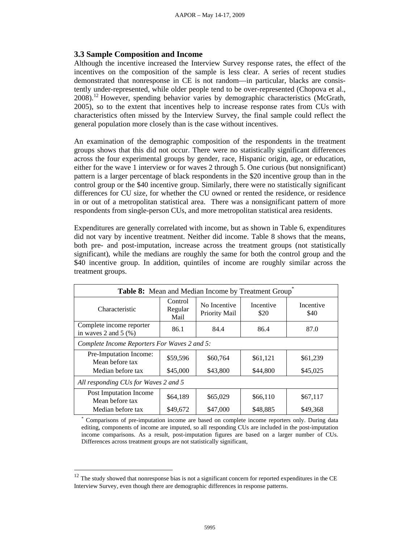## **3.3 Sample Composition and Income**

Although the incentive increased the Interview Survey response rates, the effect of the incentives on the composition of the sample is less clear. A series of recent studies demonstrated that nonresponse in CE is not random—in particular, blacks are consistently under-represented, while older people tend to be over-represented (Chopova et al., 2008).12 However, spending behavior varies by demographic characteristics (McGrath, 2005), so to the extent that incentives help to increase response rates from CUs with characteristics often missed by the Interview Survey, the final sample could reflect the general population more closely than is the case without incentives.

An examination of the demographic composition of the respondents in the treatment groups shows that this did not occur. There were no statistically significant differences across the four experimental groups by gender, race, Hispanic origin, age, or education, either for the wave 1 interview or for waves 2 through 5. One curious (but nonsignificant) pattern is a larger percentage of black respondents in the \$20 incentive group than in the control group or the \$40 incentive group. Similarly, there were no statistically significant differences for CU size, for whether the CU owned or rented the residence, or residence in or out of a metropolitan statistical area. There was a nonsignificant pattern of more respondents from single-person CUs, and more metropolitan statistical area residents.

Expenditures are generally correlated with income, but as shown in Table 6, expenditures did not vary by incentive treatment. Neither did income. Table 8 shows that the means, both pre- and post-imputation, increase across the treatment groups (not statistically significant), while the medians are roughly the same for both the control group and the \$40 incentive group. In addition, quintiles of income are roughly similar across the treatment groups.

| Table 8: Mean and Median Income by Treatment Group  |                            |                               |                   |                   |  |  |  |
|-----------------------------------------------------|----------------------------|-------------------------------|-------------------|-------------------|--|--|--|
| Characteristic                                      | Control<br>Regular<br>Mail | No Incentive<br>Priority Mail | Incentive<br>\$20 | Incentive<br>\$40 |  |  |  |
| Complete income reporter<br>in waves 2 and 5 $(\%)$ | 86.1                       | 84.4                          | 86.4              | 87.0              |  |  |  |
| Complete Income Reporters For Waves 2 and 5:        |                            |                               |                   |                   |  |  |  |
| Pre-Imputation Income:<br>Mean before tax           | \$59,596                   | \$60,764                      | \$61,121          | \$61,239          |  |  |  |
| Median before tax                                   | \$45,000                   | \$43,800                      | \$44,800          | \$45,025          |  |  |  |
| All responding CUs for Waves 2 and 5                |                            |                               |                   |                   |  |  |  |
| Post Imputation Income<br>Mean before tax           | \$64,189                   | \$65,029                      | \$66,110          | \$67,117          |  |  |  |
| Median before tax                                   | \$49,672                   | \$47,000                      | \$48,885          | \$49.368          |  |  |  |

\* Comparisons of pre-imputation income are based on complete income reporters only. During data editing, components of income are imputed, so all responding CUs are included in the post-imputation income comparisons. As a result, post-imputation figures are based on a larger number of CUs. Differences across treatment groups are not statistically significant,

 $\overline{a}$ 

 $12$  The study showed that nonresponse bias is not a significant concern for reported expenditures in the CE Interview Survey, even though there are demographic differences in response patterns.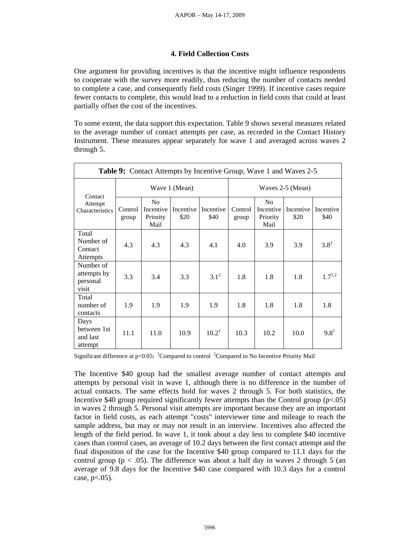### **4. Field Collection Costs**

One argument for providing incentives is that the incentive might influence respondents to cooperate with the survey more readily, thus reducing the number of contacts needed to complete a case, and consequently field costs (Singer 1999). If incentive cases require fewer contacts to complete, this would lead to a reduction in field costs that could at least partially offset the cost of the incentives.

To some extent, the data support this expectation. Table 9 shows several measures related to the average number of contact attempts per case, as recorded in the Contact History Instrument. These measures appear separately for wave 1 and averaged across waves 2 through 5.

| <b>Table 9:</b> Contact Attempts by Incentive Group, Wave 1 and Waves 2-5 |                  |                                                 |                   |                   |                  |                                                 |                   |                   |
|---------------------------------------------------------------------------|------------------|-------------------------------------------------|-------------------|-------------------|------------------|-------------------------------------------------|-------------------|-------------------|
|                                                                           | Wave 1 (Mean)    |                                                 |                   |                   | Waves 2-5 (Mean) |                                                 |                   |                   |
| Contact<br>Attempt<br>Characteristics                                     | Control<br>group | N <sub>o</sub><br>Incentive<br>Priority<br>Mail | Incentive<br>\$20 | Incentive<br>\$40 | Control<br>group | N <sub>o</sub><br>Incentive<br>Priority<br>Mail | Incentive<br>\$20 | Incentive<br>\$40 |
| Total<br>Number of<br>Contact<br><b>Attempts</b>                          | 4.3              | 4.3                                             | 4.3               | 4.1               | 4.0              | 3.9                                             | 3.9               | $3.8^{1}$         |
| Number of<br>attempts by<br>personal<br>visit                             | 3.3              | 3.4                                             | 3.3               | $3.1^{2}$         | 1.8              | 1.8                                             | 1.8               | $1.7^{1,2}$       |
| Total<br>number of<br>contacts                                            | 1.9              | 1.9                                             | 1.9               | 1.9               | 1.8              | 1.8                                             | 1.8               | 1.8               |
| Days<br>between 1st<br>and last<br>attempt                                | 11.1             | 11.0                                            | 10.9              | 10.2 <sup>1</sup> | 10.3             | 10.2                                            | 10.0              | $9.8^1$           |

Significant difference at  $p<0.05$ : <sup>1</sup>Compared to control <sup>2</sup>Compared to No Incentive Priority Mail

The Incentive \$40 group had the smallest average number of contact attempts and attempts by personal visit in wave 1, although there is no difference in the number of actual contacts. The same effects hold for waves 2 through 5. For both statistics, the Incentive \$40 group required significantly fewer attempts than the Control group  $(p<0.05)$ in waves 2 through 5. Personal visit attempts are important because they are an important factor in field costs, as each attempt "costs" interviewer time and mileage to reach the sample address, but may or may not result in an interview. Incentives also affected the length of the field period. In wave 1, it took about a day less to complete \$40 incentive cases than control cases, an average of 10.2 days between the first contact attempt and the final disposition of the case for the Incentive \$40 group compared to 11.1 days for the control group ( $p < .05$ ). The difference was about a half day in waves 2 through 5 (an average of 9.8 days for the Incentive \$40 case compared with 10.3 days for a control case,  $p<.05$ ).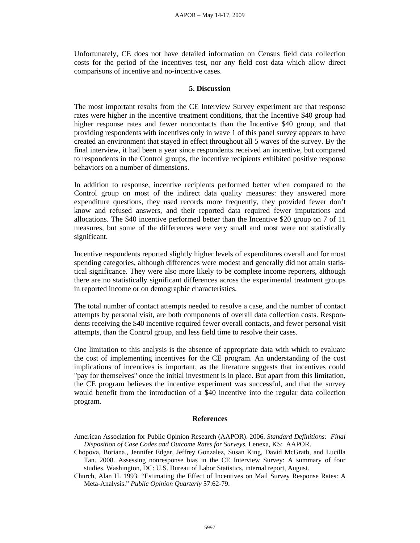Unfortunately, CE does not have detailed information on Census field data collection costs for the period of the incentives test, nor any field cost data which allow direct comparisons of incentive and no-incentive cases.

#### **5. Discussion**

The most important results from the CE Interview Survey experiment are that response rates were higher in the incentive treatment conditions, that the Incentive \$40 group had higher response rates and fewer noncontacts than the Incentive \$40 group, and that providing respondents with incentives only in wave 1 of this panel survey appears to have created an environment that stayed in effect throughout all 5 waves of the survey. By the final interview, it had been a year since respondents received an incentive, but compared to respondents in the Control groups, the incentive recipients exhibited positive response behaviors on a number of dimensions.

In addition to response, incentive recipients performed better when compared to the Control group on most of the indirect data quality measures: they answered more expenditure questions, they used records more frequently, they provided fewer don't know and refused answers, and their reported data required fewer imputations and allocations. The \$40 incentive performed better than the Incentive \$20 group on 7 of 11 measures, but some of the differences were very small and most were not statistically significant.

Incentive respondents reported slightly higher levels of expenditures overall and for most spending categories, although differences were modest and generally did not attain statistical significance. They were also more likely to be complete income reporters, although there are no statistically significant differences across the experimental treatment groups in reported income or on demographic characteristics.

The total number of contact attempts needed to resolve a case, and the number of contact attempts by personal visit, are both components of overall data collection costs. Respondents receiving the \$40 incentive required fewer overall contacts, and fewer personal visit attempts, than the Control group, and less field time to resolve their cases.

One limitation to this analysis is the absence of appropriate data with which to evaluate the cost of implementing incentives for the CE program. An understanding of the cost implications of incentives is important, as the literature suggests that incentives could "pay for themselves" once the initial investment is in place. But apart from this limitation, the CE program believes the incentive experiment was successful, and that the survey would benefit from the introduction of a \$40 incentive into the regular data collection program.

#### **References**

American Association for Public Opinion Research (AAPOR). 2006. *Standard Definitions: Final Disposition of Case Codes and Outcome Rates for Surveys.* Lenexa, KS: AAPOR.

Chopova, Boriana., Jennifer Edgar, Jeffrey Gonzalez, Susan King, David McGrath, and Lucilla Tan. 2008. Assessing nonresponse bias in the CE Interview Survey: A summary of four studies. Washington, DC: U.S. Bureau of Labor Statistics, internal report, August.

Church, Alan H. 1993. "Estimating the Effect of Incentives on Mail Survey Response Rates: A Meta-Analysis." *Public Opinion Quarterly* 57:62-79.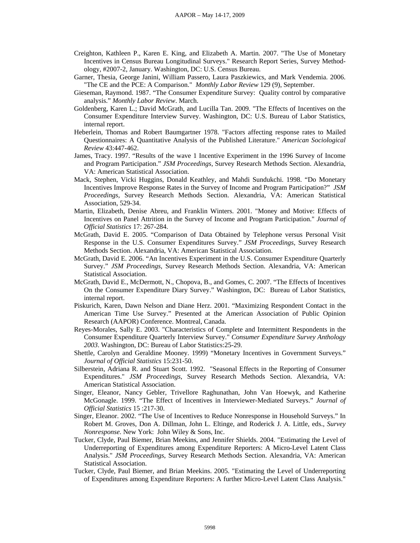- Creighton, Kathleen P., Karen E. King, and Elizabeth A. Martin. 2007. "The Use of Monetary Incentives in Census Bureau Longitudinal Surveys." Research Report Series, Survey Methodology, #2007-2, January. Washington, DC: U.S. Census Bureau.
- Garner, Thesia, George Janini, William Passero, Laura Paszkiewics, and Mark Vendemia. 2006. "The CE and the PCE: A Comparison." *Monthly Labor Review* 129 (9), September.
- Gieseman, Raymond. 1987. "The Consumer Expenditure Survey: Quality control by comparative analysis." *Monthly Labor Review*. March.
- Goldenberg, Karen L.; David McGrath, and Lucilla Tan. 2009. "The Effects of Incentives on the Consumer Expenditure Interview Survey. Washington, DC: U.S. Bureau of Labor Statistics, internal report.
- Heberlein, Thomas and Robert Baumgartner 1978. "Factors affecting response rates to Mailed Questionnaires: A Quantitative Analysis of the Published Literature." *American Sociological Review* 43:447-462.
- James, Tracy. 1997. "Results of the wave 1 Incentive Experiment in the 1996 Survey of Income and Program Participation." *JSM Proceedings*, Survey Research Methods Section. Alexandria, VA: American Statistical Association.
- Mack, Stephen, Vicki Huggins, Donald Keathley, and Mahdi Sundukchi. 1998. "Do Monetary Incentives Improve Response Rates in the Survey of Income and Program Participation?" *JSM Proceedings*, Survey Research Methods Section. Alexandria, VA: American Statistical Association, 529-34.
- Martin, Elizabeth, Denise Abreu, and Franklin Winters. 2001. "Money and Motive: Effects of Incentives on Panel Attrition in the Survey of Income and Program Participation." *Journal of Official Statistics* 17: 267-284.
- McGrath, David E. 2005. "Comparison of Data Obtained by Telephone versus Personal Visit Response in the U.S. Consumer Expenditures Survey." *JSM Proceedings*, Survey Research Methods Section. Alexandria, VA: American Statistical Association.
- McGrath, David E. 2006. "An Incentives Experiment in the U.S. Consumer Expenditure Quarterly Survey." *JSM Proceedings*, Survey Research Methods Section. Alexandria, VA: American Statistical Association.
- McGrath, David E., McDermott, N., Chopova, B., and Gomes, C. 2007. "The Effects of Incentives On the Consumer Expenditure Diary Survey." Washington, DC: Bureau of Labor Statistics, internal report.
- Piskurich, Karen, Dawn Nelson and Diane Herz. 2001. "Maximizing Respondent Contact in the American Time Use Survey." Presented at the American Association of Public Opinion Research (AAPOR) Conference. Montreal, Canada.
- Reyes-Morales, Sally E. 2003. "Characteristics of Complete and Intermittent Respondents in the Consumer Expenditure Quarterly Interview Survey." *Consumer Expenditure Survey Anthology 2003*. Washington, DC: Bureau of Labor Statistics:25-29.
- Shettle, Carolyn and Geraldine Mooney. 1999) "Monetary Incentives in Government Surveys." *Journal of Official Statistics* 15:231-50.
- Silberstein, Adriana R. and Stuart Scott. 1992. "Seasonal Effects in the Reporting of Consumer Expenditures." *JSM Proceedings*, Survey Research Methods Section. Alexandria, VA: American Statistical Association.
- Singer, Eleanor, Nancy Gebler, Trivellore Raghunathan, John Van Hoewyk, and Katherine McGonagle. 1999. "The Effect of Incentives in Interviewer-Mediated Surveys." *Journal of Official Statistics* 15 :217-30.
- Singer, Eleanor. 2002. "The Use of Incentives to Reduce Nonresponse in Household Surveys." In Robert M. Groves, Don A. Dillman, John L. Eltinge, and Roderick J. A. Little, eds., *Survey Nonresponse.* New York: John Wiley & Sons, Inc.
- Tucker, Clyde, Paul Biemer, Brian Meekins, and Jennifer Shields. 2004. "Estimating the Level of Underreporting of Expenditures among Expenditure Reporters: A Micro-Level Latent Class Analysis." *JSM Proceedings*, Survey Research Methods Section. Alexandria, VA: American Statistical Association.
- Tucker, Clyde, Paul Biemer, and Brian Meekins. 2005. "Estimating the Level of Underreporting of Expenditures among Expenditure Reporters: A further Micro-Level Latent Class Analysis."